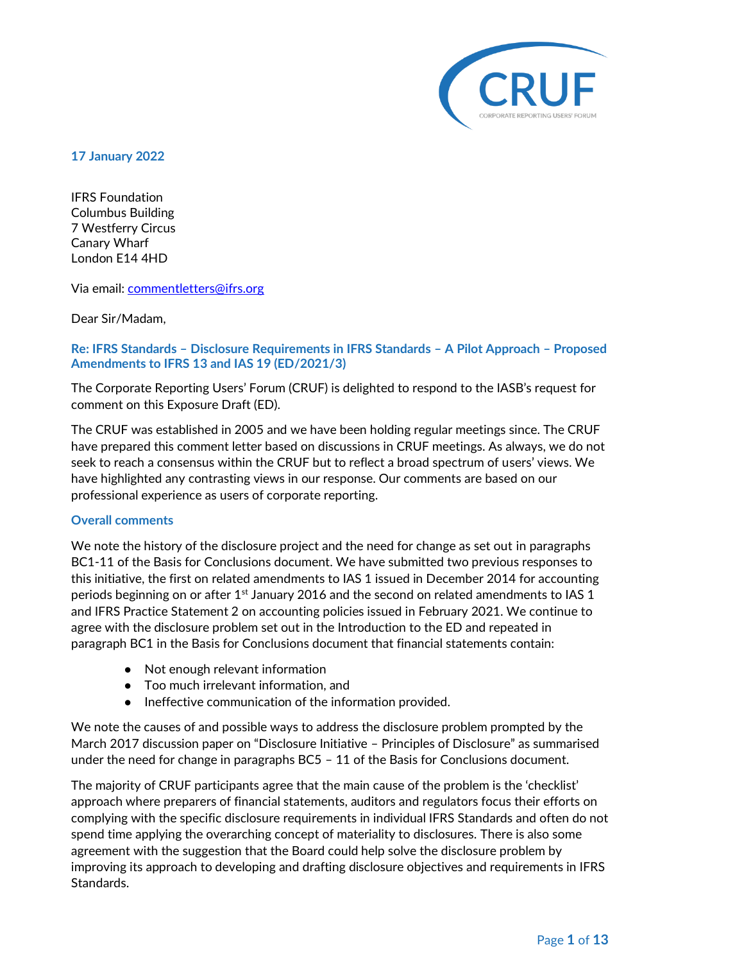

**17 January 2022**

IFRS Foundation Columbus Building 7 Westferry Circus Canary Wh[arf](mailto:commentletters@ifrs.org)  London E14 4HD

Via email: commentletters@ifrs.org

Dear Sir/Madam,

## **Re: IFRS Standards – Disclosure Requirements in IFRS Standards – A Pilot Approach – Proposed Amendments to IFRS 13 and IAS 19 (ED/2021/3)**

The Corporate Reporting Users' Forum (CRUF) is delighted to respond to the IASB's request for comment on this Exposure Draft (ED).

The CRUF was established in 2005 and we have been holding regular meetings since. The CRUF have prepared this comment letter based on discussions in CRUF meetings. As always, we do not seek to reach a consensus within the CRUF but to reflect a broad spectrum of users' views. We have highlighted any contrasting views in our response. Our comments are based on our professional experience as users of corporate reporting.

## **Overall comments**

We note the history of the disclosure project and the need for change as set out in paragraphs BC1-11 of the Basis for Conclusions document. We have submitted two previous responses to this initiative, the first on related amendments to IAS 1 issued in December 2014 for accounting periods beginning on or after  $1<sup>st</sup>$  January 2016 and the second on related amendments to IAS 1 and IFRS Practice Statement 2 on accounting policies issued in February 2021. We continue to agree with the disclosure problem set out in the Introduction to the ED and repeated in paragraph BC1 in the Basis for Conclusions document that financial statements contain:

- Not enough relevant information
- Too much irrelevant information, and
- Ineffective communication of the information provided.

We note the causes of and possible ways to address the disclosure problem prompted by the March 2017 discussion paper on "Disclosure Initiative – Principles of Disclosure" as summarised under the need for change in paragraphs BC5 – 11 of the Basis for Conclusions document.

The majority of CRUF participants agree that the main cause of the problem is the 'checklist' approach where preparers of financial statements, auditors and regulators focus their efforts on complying with the specific disclosure requirements in individual IFRS Standards and often do not spend time applying the overarching concept of materiality to disclosures. There is also some agreement with the suggestion that the Board could help solve the disclosure problem by improving its approach to developing and drafting disclosure objectives and requirements in IFRS Standards.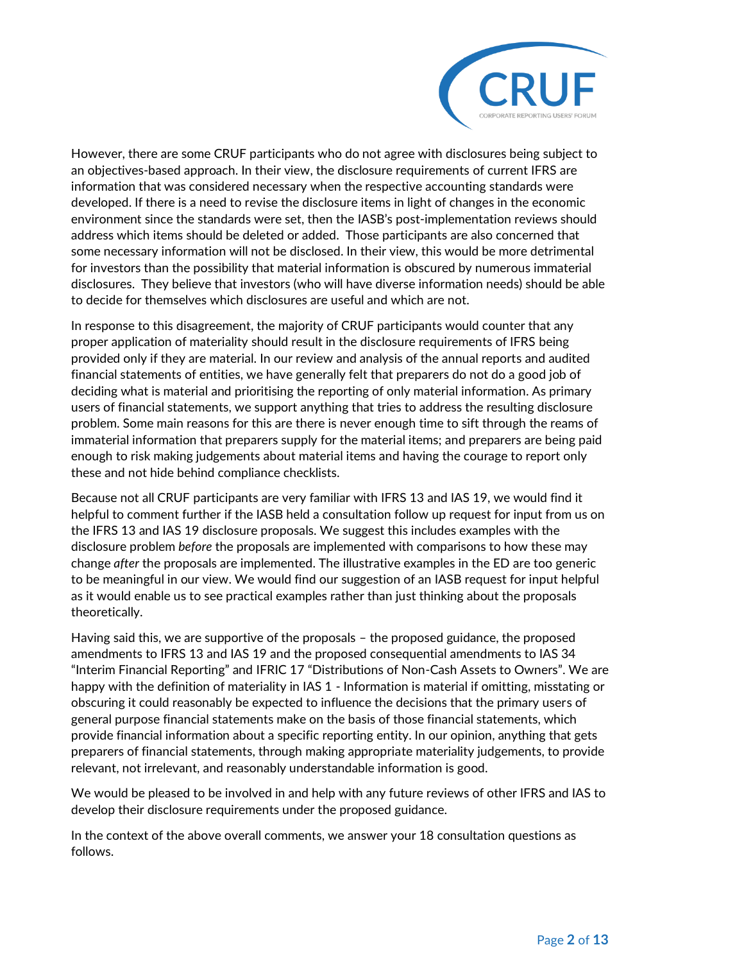

However, there are some CRUF participants who do not agree with disclosures being subject to an objectives-based approach. In their view, the disclosure requirements of current IFRS are information that was considered necessary when the respective accounting standards were developed. If there is a need to revise the disclosure items in light of changes in the economic environment since the standards were set, then the IASB's post-implementation reviews should address which items should be deleted or added. Those participants are also concerned that some necessary information will not be disclosed. In their view, this would be more detrimental for investors than the possibility that material information is obscured by numerous immaterial disclosures. They believe that investors (who will have diverse information needs) should be able to decide for themselves which disclosures are useful and which are not.

In response to this disagreement, the majority of CRUF participants would counter that any proper application of materiality should result in the disclosure requirements of IFRS being provided only if they are material. In our review and analysis of the annual reports and audited financial statements of entities, we have generally felt that preparers do not do a good job of deciding what is material and prioritising the reporting of only material information. As primary users of financial statements, we support anything that tries to address the resulting disclosure problem. Some main reasons for this are there is never enough time to sift through the reams of immaterial information that preparers supply for the material items; and preparers are being paid enough to risk making judgements about material items and having the courage to report only these and not hide behind compliance checklists.

Because not all CRUF participants are very familiar with IFRS 13 and IAS 19, we would find it helpful to comment further if the IASB held a consultation follow up request for input from us on the IFRS 13 and IAS 19 disclosure proposals. We suggest this includes examples with the disclosure problem *before* the proposals are implemented with comparisons to how these may change *after* the proposals are implemented. The illustrative examples in the ED are too generic to be meaningful in our view. We would find our suggestion of an IASB request for input helpful as it would enable us to see practical examples rather than just thinking about the proposals theoretically.

Having said this, we are supportive of the proposals – the proposed guidance, the proposed amendments to IFRS 13 and IAS 19 and the proposed consequential amendments to IAS 34 "Interim Financial Reporting" and IFRIC 17 "Distributions of Non-Cash Assets to Owners". We are happy with the definition of materiality in IAS 1 - Information is material if omitting, misstating or obscuring it could reasonably be expected to influence the decisions that the primary users of general purpose financial statements make on the basis of those financial statements, which provide financial information about a specific reporting entity. In our opinion, anything that gets preparers of financial statements, through making appropriate materiality judgements, to provide relevant, not irrelevant, and reasonably understandable information is good.

We would be pleased to be involved in and help with any future reviews of other IFRS and IAS to develop their disclosure requirements under the proposed guidance.

In the context of the above overall comments, we answer your 18 consultation questions as follows.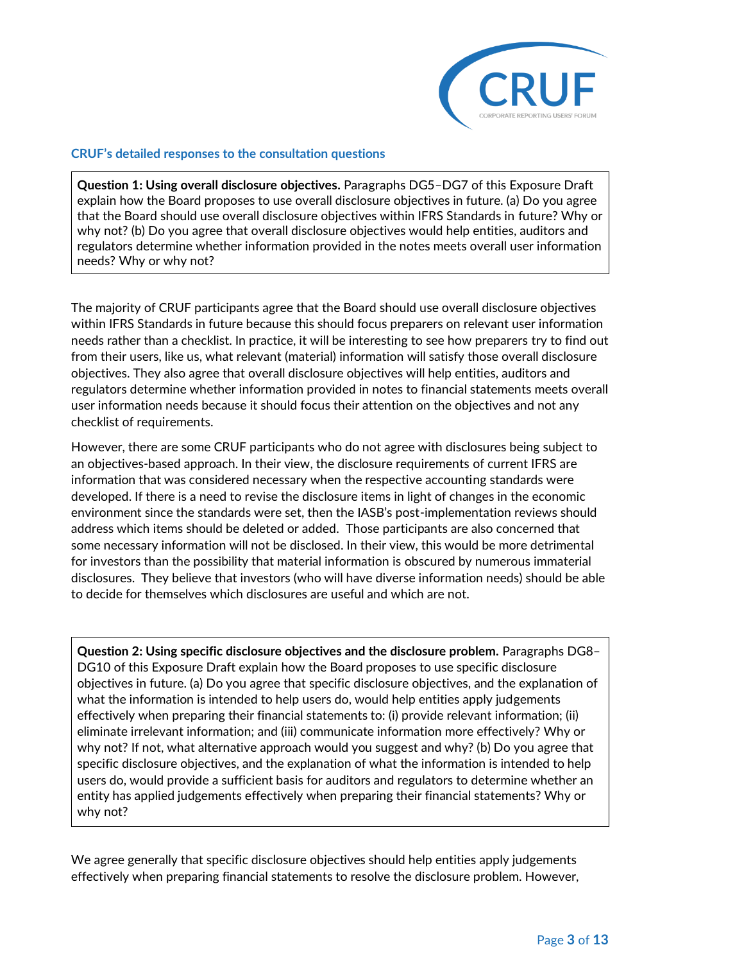

#### **CRUF's detailed responses to the consultation questions**

**Question 1: Using overall disclosure objectives.** Paragraphs DG5–DG7 of this Exposure Draft explain how the Board proposes to use overall disclosure objectives in future. (a) Do you agree that the Board should use overall disclosure objectives within IFRS Standards in future? Why or why not? (b) Do you agree that overall disclosure objectives would help entities, auditors and regulators determine whether information provided in the notes meets overall user information needs? Why or why not?

The majority of CRUF participants agree that the Board should use overall disclosure objectives within IFRS Standards in future because this should focus preparers on relevant user information needs rather than a checklist. In practice, it will be interesting to see how preparers try to find out from their users, like us, what relevant (material) information will satisfy those overall disclosure objectives. They also agree that overall disclosure objectives will help entities, auditors and regulators determine whether information provided in notes to financial statements meets overall user information needs because it should focus their attention on the objectives and not any checklist of requirements.

However, there are some CRUF participants who do not agree with disclosures being subject to an objectives-based approach. In their view, the disclosure requirements of current IFRS are information that was considered necessary when the respective accounting standards were developed. If there is a need to revise the disclosure items in light of changes in the economic environment since the standards were set, then the IASB's post-implementation reviews should address which items should be deleted or added. Those participants are also concerned that some necessary information will not be disclosed. In their view, this would be more detrimental for investors than the possibility that material information is obscured by numerous immaterial disclosures. They believe that investors (who will have diverse information needs) should be able to decide for themselves which disclosures are useful and which are not.

**Question 2: Using specific disclosure objectives and the disclosure problem.** Paragraphs DG8– DG10 of this Exposure Draft explain how the Board proposes to use specific disclosure objectives in future. (a) Do you agree that specific disclosure objectives, and the explanation of what the information is intended to help users do, would help entities apply judgements effectively when preparing their financial statements to: (i) provide relevant information; (ii) eliminate irrelevant information; and (iii) communicate information more effectively? Why or why not? If not, what alternative approach would you suggest and why? (b) Do you agree that specific disclosure objectives, and the explanation of what the information is intended to help users do, would provide a sufficient basis for auditors and regulators to determine whether an entity has applied judgements effectively when preparing their financial statements? Why or why not?

We agree generally that specific disclosure objectives should help entities apply judgements effectively when preparing financial statements to resolve the disclosure problem. However,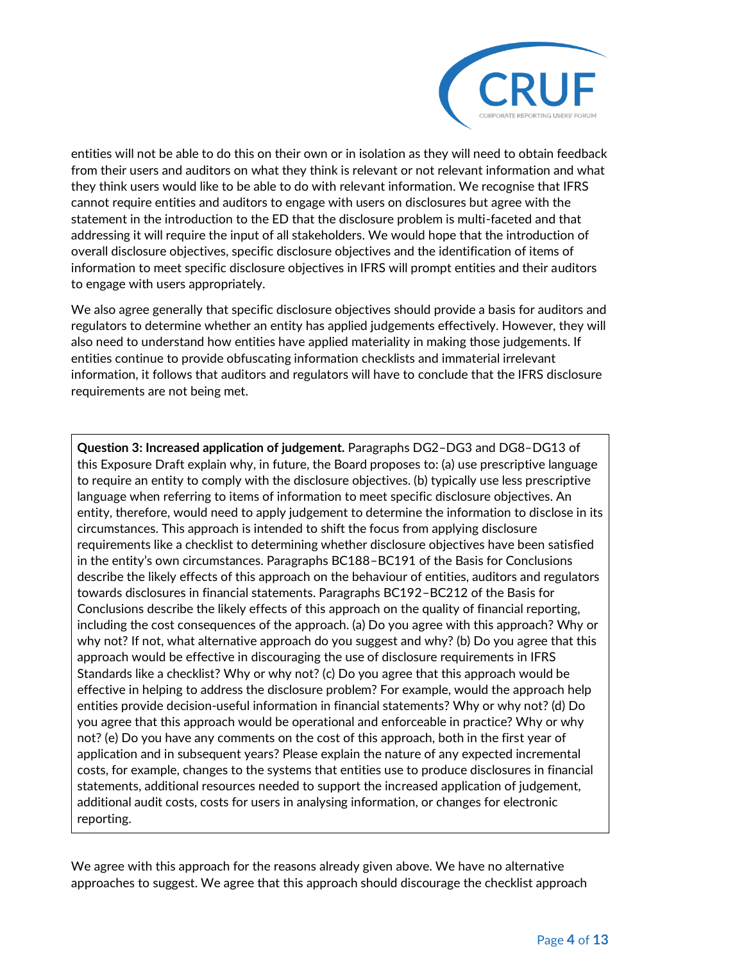

entities will not be able to do this on their own or in isolation as they will need to obtain feedback from their users and auditors on what they think is relevant or not relevant information and what they think users would like to be able to do with relevant information. We recognise that IFRS cannot require entities and auditors to engage with users on disclosures but agree with the statement in the introduction to the ED that the disclosure problem is multi-faceted and that addressing it will require the input of all stakeholders. We would hope that the introduction of overall disclosure objectives, specific disclosure objectives and the identification of items of information to meet specific disclosure objectives in IFRS will prompt entities and their auditors to engage with users appropriately.

We also agree generally that specific disclosure objectives should provide a basis for auditors and regulators to determine whether an entity has applied judgements effectively. However, they will also need to understand how entities have applied materiality in making those judgements. If entities continue to provide obfuscating information checklists and immaterial irrelevant information, it follows that auditors and regulators will have to conclude that the IFRS disclosure requirements are not being met.

**Question 3: Increased application of judgement.** Paragraphs DG2–DG3 and DG8–DG13 of this Exposure Draft explain why, in future, the Board proposes to: (a) use prescriptive language to require an entity to comply with the disclosure objectives. (b) typically use less prescriptive language when referring to items of information to meet specific disclosure objectives. An entity, therefore, would need to apply judgement to determine the information to disclose in its circumstances. This approach is intended to shift the focus from applying disclosure requirements like a checklist to determining whether disclosure objectives have been satisfied in the entity's own circumstances. Paragraphs BC188–BC191 of the Basis for Conclusions describe the likely effects of this approach on the behaviour of entities, auditors and regulators towards disclosures in financial statements. Paragraphs BC192–BC212 of the Basis for Conclusions describe the likely effects of this approach on the quality of financial reporting, including the cost consequences of the approach. (a) Do you agree with this approach? Why or why not? If not, what alternative approach do you suggest and why? (b) Do you agree that this approach would be effective in discouraging the use of disclosure requirements in IFRS Standards like a checklist? Why or why not? (c) Do you agree that this approach would be effective in helping to address the disclosure problem? For example, would the approach help entities provide decision-useful information in financial statements? Why or why not? (d) Do you agree that this approach would be operational and enforceable in practice? Why or why not? (e) Do you have any comments on the cost of this approach, both in the first year of application and in subsequent years? Please explain the nature of any expected incremental costs, for example, changes to the systems that entities use to produce disclosures in financial statements, additional resources needed to support the increased application of judgement, additional audit costs, costs for users in analysing information, or changes for electronic reporting.

We agree with this approach for the reasons already given above. We have no alternative approaches to suggest. We agree that this approach should discourage the checklist approach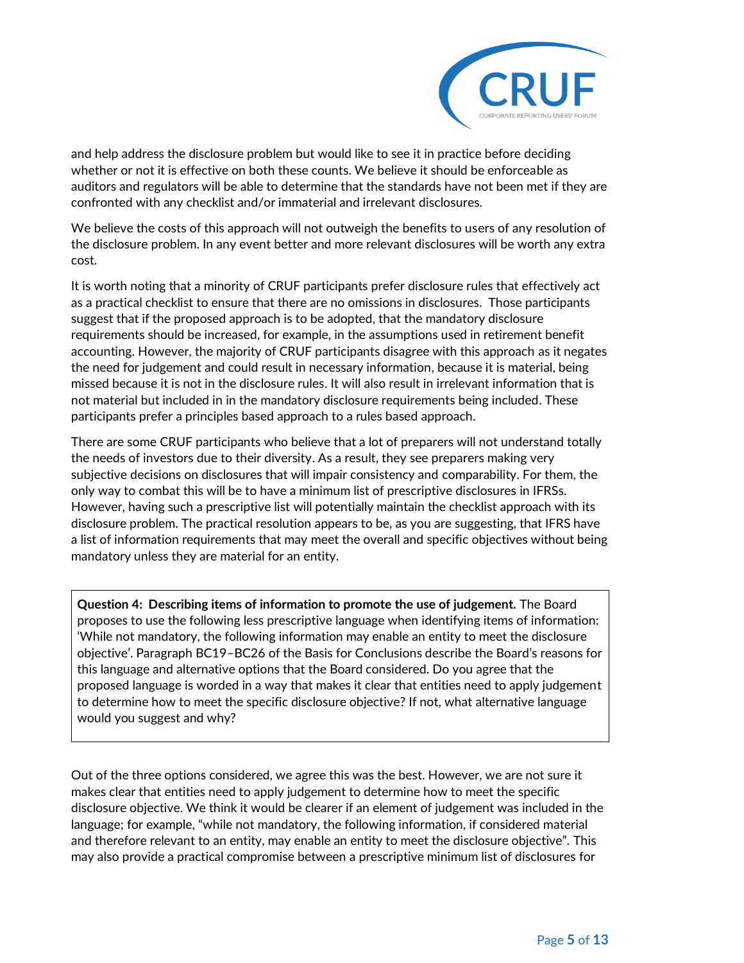

and help address the disclosure problem but would like to see it in practice before deciding whether or not it is effective on both these counts. We believe it should be enforceable as auditors and regulators will be able to determine that the standards have not been met if they are confronted with any checklist and/or immaterial and irrelevant disclosures.

We believe the costs of this approach will not outweigh the benefits to users of any resolution of the disclosure problem. In any event better and more relevant disclosures will be worth any extra cost.

It is worth noting that a minority of CRUF participants prefer disclosure rules that effectively act as a practical checklist to ensure that there are no omissions in disclosures. Those participants suggest that if the proposed approach is to be adopted, that the mandatory disclosure requirements should be increased, for example, in the assumptions used in retirement benefit accounting. However, the majority of CRUF participants disagree with this approach as it negates the need for judgement and could result in necessary information, because it is material, being missed because it is not in the disclosure rules. It will also result in irrelevant information that is not material but included in in the mandatory disclosure requirements being included. These participants prefer a principles based approach to a rules based approach.

There are some CRUF participants who believe that a lot of preparers will not understand totally the needs of investors due to their diversity. As a result, they see preparers making very subjective decisions on disclosures that will impair consistency and comparability. For them, the only way to combat this will be to have a minimum list of prescriptive disclosures in IFRSs. However, having such a prescriptive list will potentially maintain the checklist approach with its disclosure problem. The practical resolution appears to be, as you are suggesting, that IFRS have a list of information requirements that may meet the overall and specific objectives without being mandatory unless they are material for an entity.

**Question 4: Describing items of information to promote the use of judgement.** The Board proposes to use the following less prescriptive language when identifying items of information: 'While not mandatory, the following information may enable an entity to meet the disclosure objective'. Paragraph BC19–BC26 of the Basis for Conclusions describe the Board's reasons for this language and alternative options that the Board considered. Do you agree that the proposed language is worded in a way that makes it clear that entities need to apply judgement to determine how to meet the specific disclosure objective? If not, what alternative language would you suggest and why?

Out of the three options considered, we agree this was the best. However, we are not sure it makes clear that entities need to apply judgement to determine how to meet the specific disclosure objective. We think it would be clearer if an element of judgement was included in the language; for example, "while not mandatory, the following information, if considered material and therefore relevant to an entity, may enable an entity to meet the disclosure objective". This may also provide a practical compromise between a prescriptive minimum list of disclosures for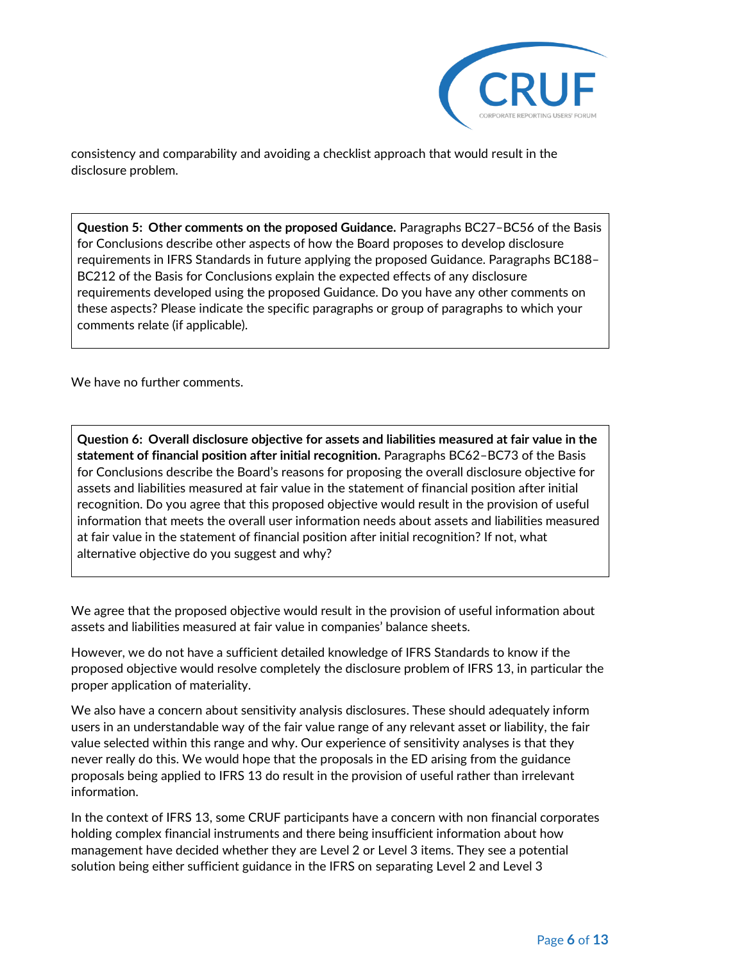

consistency and comparability and avoiding a checklist approach that would result in the disclosure problem.

**Question 5: Other comments on the proposed Guidance.** Paragraphs BC27–BC56 of the Basis for Conclusions describe other aspects of how the Board proposes to develop disclosure requirements in IFRS Standards in future applying the proposed Guidance. Paragraphs BC188– BC212 of the Basis for Conclusions explain the expected effects of any disclosure requirements developed using the proposed Guidance. Do you have any other comments on these aspects? Please indicate the specific paragraphs or group of paragraphs to which your comments relate (if applicable).

We have no further comments.

**Question 6: Overall disclosure objective for assets and liabilities measured at fair value in the statement of financial position after initial recognition.** Paragraphs BC62–BC73 of the Basis for Conclusions describe the Board's reasons for proposing the overall disclosure objective for assets and liabilities measured at fair value in the statement of financial position after initial recognition. Do you agree that this proposed objective would result in the provision of useful information that meets the overall user information needs about assets and liabilities measured at fair value in the statement of financial position after initial recognition? If not, what alternative objective do you suggest and why?

We agree that the proposed objective would result in the provision of useful information about assets and liabilities measured at fair value in companies' balance sheets.

However, we do not have a sufficient detailed knowledge of IFRS Standards to know if the proposed objective would resolve completely the disclosure problem of IFRS 13, in particular the proper application of materiality.

We also have a concern about sensitivity analysis disclosures. These should adequately inform users in an understandable way of the fair value range of any relevant asset or liability, the fair value selected within this range and why. Our experience of sensitivity analyses is that they never really do this. We would hope that the proposals in the ED arising from the guidance proposals being applied to IFRS 13 do result in the provision of useful rather than irrelevant information.

In the context of IFRS 13, some CRUF participants have a concern with non financial corporates holding complex financial instruments and there being insufficient information about how management have decided whether they are Level 2 or Level 3 items. They see a potential solution being either sufficient guidance in the IFRS on separating Level 2 and Level 3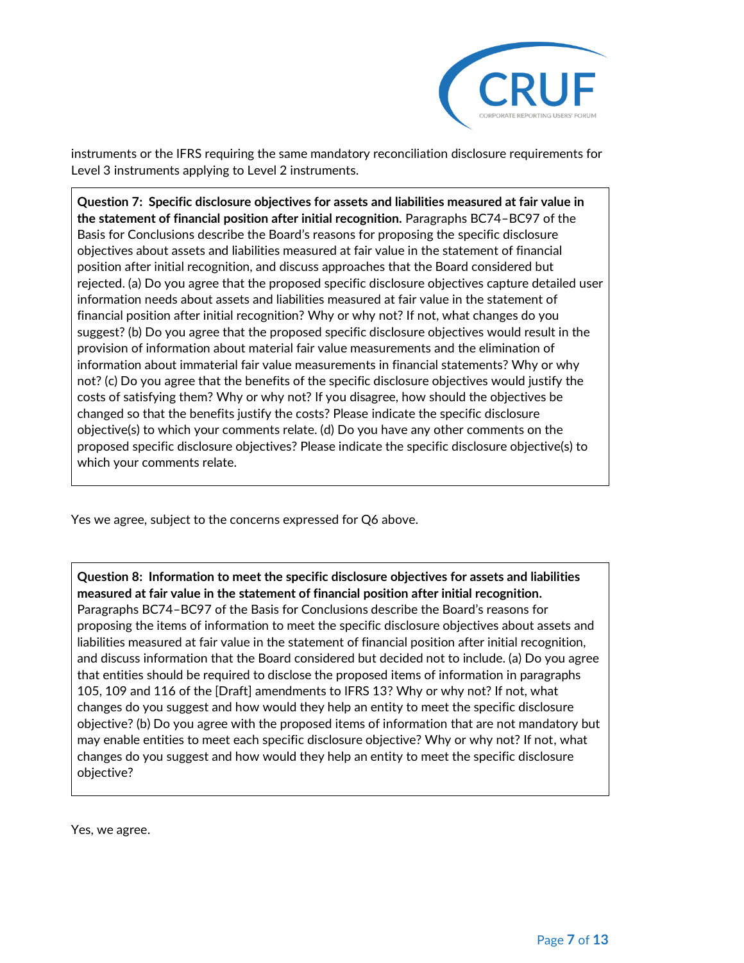

instruments or the IFRS requiring the same mandatory reconciliation disclosure requirements for Level 3 instruments applying to Level 2 instruments.

**Question 7: Specific disclosure objectives for assets and liabilities measured at fair value in the statement of financial position after initial recognition.** Paragraphs BC74–BC97 of the Basis for Conclusions describe the Board's reasons for proposing the specific disclosure objectives about assets and liabilities measured at fair value in the statement of financial position after initial recognition, and discuss approaches that the Board considered but rejected. (a) Do you agree that the proposed specific disclosure objectives capture detailed user information needs about assets and liabilities measured at fair value in the statement of financial position after initial recognition? Why or why not? If not, what changes do you suggest? (b) Do you agree that the proposed specific disclosure objectives would result in the provision of information about material fair value measurements and the elimination of information about immaterial fair value measurements in financial statements? Why or why not? (c) Do you agree that the benefits of the specific disclosure objectives would justify the costs of satisfying them? Why or why not? If you disagree, how should the objectives be changed so that the benefits justify the costs? Please indicate the specific disclosure objective(s) to which your comments relate. (d) Do you have any other comments on the proposed specific disclosure objectives? Please indicate the specific disclosure objective(s) to which your comments relate.

Yes we agree, subject to the concerns expressed for Q6 above.

**Question 8: Information to meet the specific disclosure objectives for assets and liabilities measured at fair value in the statement of financial position after initial recognition.**  Paragraphs BC74–BC97 of the Basis for Conclusions describe the Board's reasons for proposing the items of information to meet the specific disclosure objectives about assets and liabilities measured at fair value in the statement of financial position after initial recognition, and discuss information that the Board considered but decided not to include. (a) Do you agree that entities should be required to disclose the proposed items of information in paragraphs 105, 109 and 116 of the [Draft] amendments to IFRS 13? Why or why not? If not, what changes do you suggest and how would they help an entity to meet the specific disclosure objective? (b) Do you agree with the proposed items of information that are not mandatory but may enable entities to meet each specific disclosure objective? Why or why not? If not, what changes do you suggest and how would they help an entity to meet the specific disclosure objective?

Yes, we agree.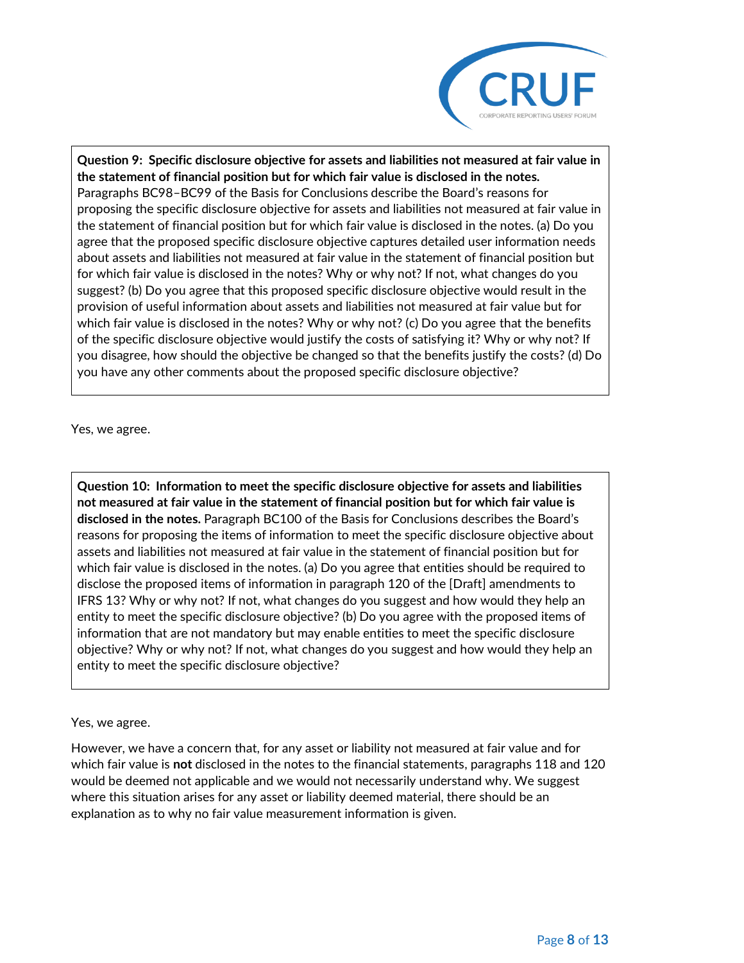

**Question 9: Specific disclosure objective for assets and liabilities not measured at fair value in the statement of financial position but for which fair value is disclosed in the notes.**  Paragraphs BC98–BC99 of the Basis for Conclusions describe the Board's reasons for proposing the specific disclosure objective for assets and liabilities not measured at fair value in the statement of financial position but for which fair value is disclosed in the notes. (a) Do you agree that the proposed specific disclosure objective captures detailed user information needs about assets and liabilities not measured at fair value in the statement of financial position but for which fair value is disclosed in the notes? Why or why not? If not, what changes do you suggest? (b) Do you agree that this proposed specific disclosure objective would result in the provision of useful information about assets and liabilities not measured at fair value but for which fair value is disclosed in the notes? Why or why not? (c) Do you agree that the benefits of the specific disclosure objective would justify the costs of satisfying it? Why or why not? If you disagree, how should the objective be changed so that the benefits justify the costs? (d) Do you have any other comments about the proposed specific disclosure objective?

Yes, we agree.

**Question 10: Information to meet the specific disclosure objective for assets and liabilities not measured at fair value in the statement of financial position but for which fair value is disclosed in the notes.** Paragraph BC100 of the Basis for Conclusions describes the Board's reasons for proposing the items of information to meet the specific disclosure objective about assets and liabilities not measured at fair value in the statement of financial position but for which fair value is disclosed in the notes. (a) Do you agree that entities should be required to disclose the proposed items of information in paragraph 120 of the [Draft] amendments to IFRS 13? Why or why not? If not, what changes do you suggest and how would they help an entity to meet the specific disclosure objective? (b) Do you agree with the proposed items of information that are not mandatory but may enable entities to meet the specific disclosure objective? Why or why not? If not, what changes do you suggest and how would they help an entity to meet the specific disclosure objective?

Yes, we agree.

However, we have a concern that, for any asset or liability not measured at fair value and for which fair value is **not** disclosed in the notes to the financial statements, paragraphs 118 and 120 would be deemed not applicable and we would not necessarily understand why. We suggest where this situation arises for any asset or liability deemed material, there should be an explanation as to why no fair value measurement information is given.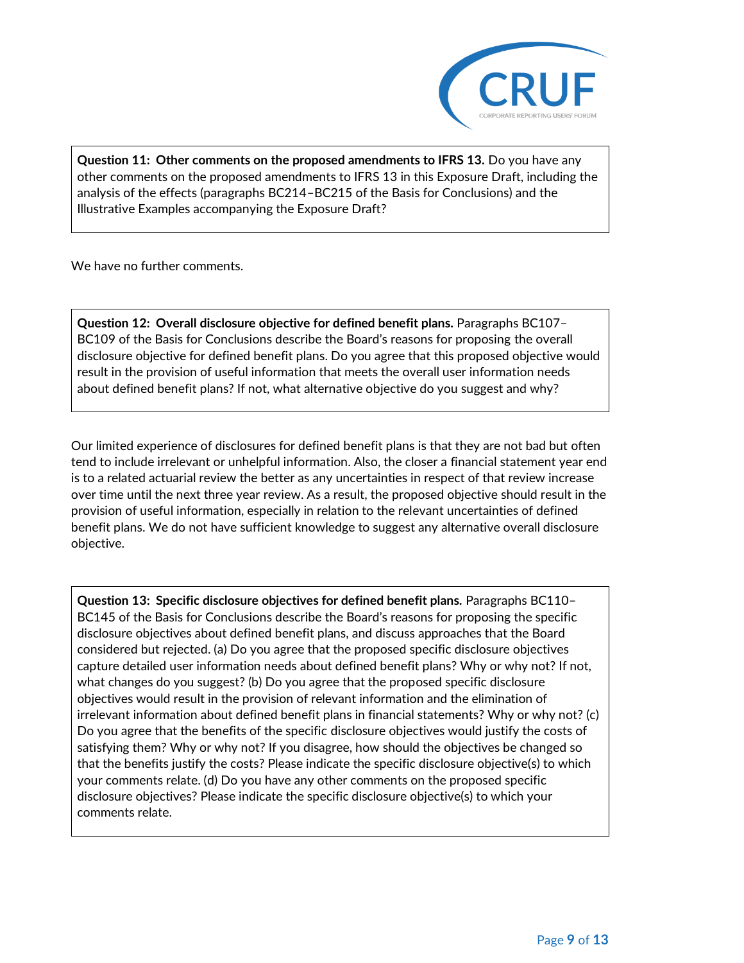

**Question 11: Other comments on the proposed amendments to IFRS 13.** Do you have any other comments on the proposed amendments to IFRS 13 in this Exposure Draft, including the analysis of the effects (paragraphs BC214–BC215 of the Basis for Conclusions) and the Illustrative Examples accompanying the Exposure Draft?

We have no further comments.

**Question 12: Overall disclosure objective for defined benefit plans.** Paragraphs BC107– BC109 of the Basis for Conclusions describe the Board's reasons for proposing the overall disclosure objective for defined benefit plans. Do you agree that this proposed objective would result in the provision of useful information that meets the overall user information needs about defined benefit plans? If not, what alternative objective do you suggest and why?

Our limited experience of disclosures for defined benefit plans is that they are not bad but often tend to include irrelevant or unhelpful information. Also, the closer a financial statement year end is to a related actuarial review the better as any uncertainties in respect of that review increase over time until the next three year review. As a result, the proposed objective should result in the provision of useful information, especially in relation to the relevant uncertainties of defined benefit plans. We do not have sufficient knowledge to suggest any alternative overall disclosure objective.

**Question 13: Specific disclosure objectives for defined benefit plans.** Paragraphs BC110– BC145 of the Basis for Conclusions describe the Board's reasons for proposing the specific disclosure objectives about defined benefit plans, and discuss approaches that the Board considered but rejected. (a) Do you agree that the proposed specific disclosure objectives capture detailed user information needs about defined benefit plans? Why or why not? If not, what changes do you suggest? (b) Do you agree that the proposed specific disclosure objectives would result in the provision of relevant information and the elimination of irrelevant information about defined benefit plans in financial statements? Why or why not? (c) Do you agree that the benefits of the specific disclosure objectives would justify the costs of satisfying them? Why or why not? If you disagree, how should the objectives be changed so that the benefits justify the costs? Please indicate the specific disclosure objective(s) to which your comments relate. (d) Do you have any other comments on the proposed specific disclosure objectives? Please indicate the specific disclosure objective(s) to which your comments relate.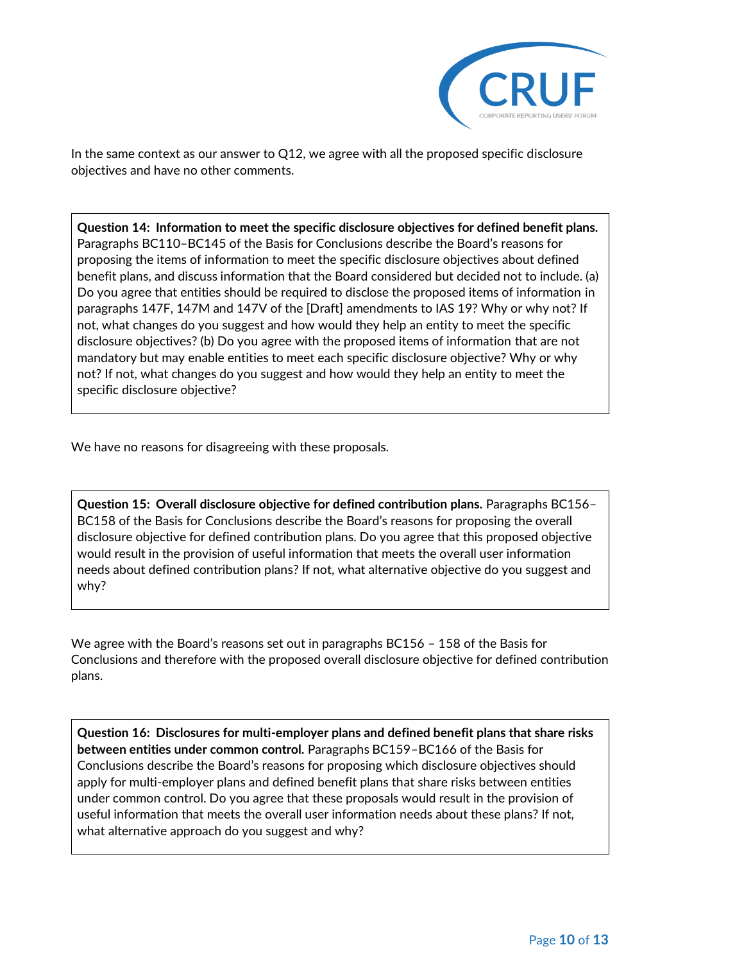

In the same context as our answer to Q12, we agree with all the proposed specific disclosure objectives and have no other comments.

**Question 14: Information to meet the specific disclosure objectives for defined benefit plans.**  Paragraphs BC110–BC145 of the Basis for Conclusions describe the Board's reasons for proposing the items of information to meet the specific disclosure objectives about defined benefit plans, and discuss information that the Board considered but decided not to include. (a) Do you agree that entities should be required to disclose the proposed items of information in paragraphs 147F, 147M and 147V of the [Draft] amendments to IAS 19? Why or why not? If not, what changes do you suggest and how would they help an entity to meet the specific disclosure objectives? (b) Do you agree with the proposed items of information that are not mandatory but may enable entities to meet each specific disclosure objective? Why or why not? If not, what changes do you suggest and how would they help an entity to meet the specific disclosure objective?

We have no reasons for disagreeing with these proposals.

**Question 15: Overall disclosure objective for defined contribution plans.** Paragraphs BC156– BC158 of the Basis for Conclusions describe the Board's reasons for proposing the overall disclosure objective for defined contribution plans. Do you agree that this proposed objective would result in the provision of useful information that meets the overall user information needs about defined contribution plans? If not, what alternative objective do you suggest and why?

We agree with the Board's reasons set out in paragraphs BC156 – 158 of the Basis for Conclusions and therefore with the proposed overall disclosure objective for defined contribution plans.

**Question 16: Disclosures for multi-employer plans and defined benefit plans that share risks between entities under common control.** Paragraphs BC159–BC166 of the Basis for Conclusions describe the Board's reasons for proposing which disclosure objectives should apply for multi-employer plans and defined benefit plans that share risks between entities under common control. Do you agree that these proposals would result in the provision of useful information that meets the overall user information needs about these plans? If not, what alternative approach do you suggest and why?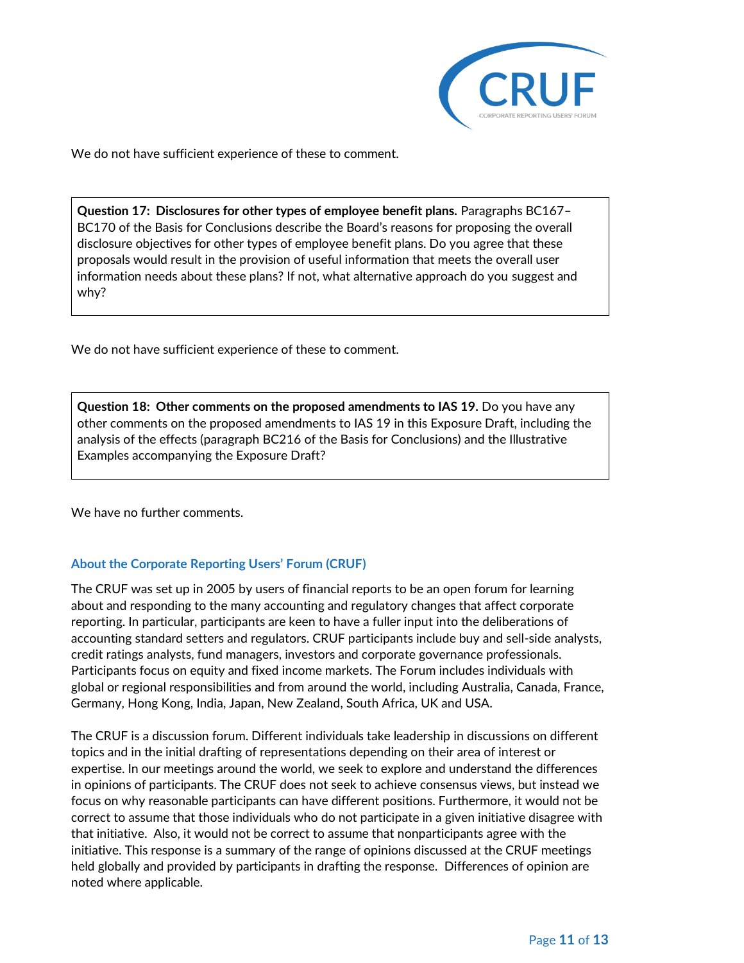

We do not have sufficient experience of these to comment.

**Question 17: Disclosures for other types of employee benefit plans.** Paragraphs BC167– BC170 of the Basis for Conclusions describe the Board's reasons for proposing the overall disclosure objectives for other types of employee benefit plans. Do you agree that these proposals would result in the provision of useful information that meets the overall user information needs about these plans? If not, what alternative approach do you suggest and why?

We do not have sufficient experience of these to comment.

**Question 18: Other comments on the proposed amendments to IAS 19.** Do you have any other comments on the proposed amendments to IAS 19 in this Exposure Draft, including the analysis of the effects (paragraph BC216 of the Basis for Conclusions) and the Illustrative Examples accompanying the Exposure Draft?

We have no further comments.

## **About the Corporate Reporting Users' Forum (CRUF)**

The CRUF was set up in 2005 by users of financial reports to be an open forum for learning about and responding to the many accounting and regulatory changes that affect corporate reporting. In particular, participants are keen to have a fuller input into the deliberations of accounting standard setters and regulators. CRUF participants include buy and sell-side analysts, credit ratings analysts, fund managers, investors and corporate governance professionals. Participants focus on equity and fixed income markets. The Forum includes individuals with global or regional responsibilities and from around the world, including Australia, Canada, France, Germany, Hong Kong, India, Japan, New Zealand, South Africa, UK and USA.

The CRUF is a discussion forum. Different individuals take leadership in discussions on different topics and in the initial drafting of representations depending on their area of interest or expertise. In our meetings around the world, we seek to explore and understand the differences in opinions of participants. The CRUF does not seek to achieve consensus views, but instead we focus on why reasonable participants can have different positions. Furthermore, it would not be correct to assume that those individuals who do not participate in a given initiative disagree with that initiative. Also, it would not be correct to assume that nonparticipants agree with the initiative. This response is a summary of the range of opinions discussed at the CRUF meetings held globally and provided by participants in drafting the response. Differences of opinion are noted where applicable.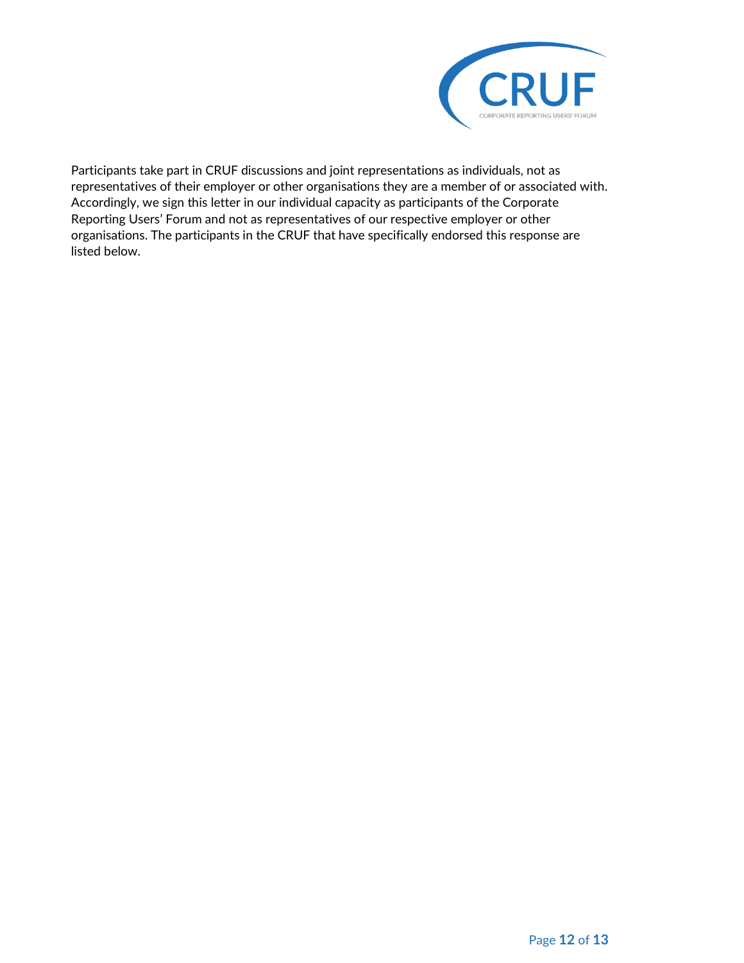

Participants take part in CRUF discussions and joint representations as individuals, not as representatives of their employer or other organisations they are a member of or associated with. Accordingly, we sign this letter in our individual capacity as participants of the Corporate Reporting Users' Forum and not as representatives of our respective employer or other organisations. The participants in the CRUF that have specifically endorsed this response are listed below.